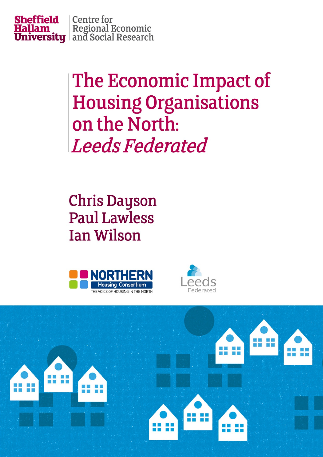

The Economic Impact of **Housing Organisations** on the North: **Leeds Federated** 

**Chris Dayson Paul Lawless Ian Wilson** 





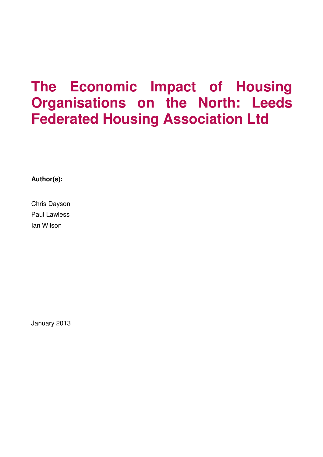# **The Economic Impact of Housing Organisations on the North: Leeds Federated Housing Association Ltd**

**Author(s):** 

Chris Dayson Paul Lawless Ian Wilson

January 2013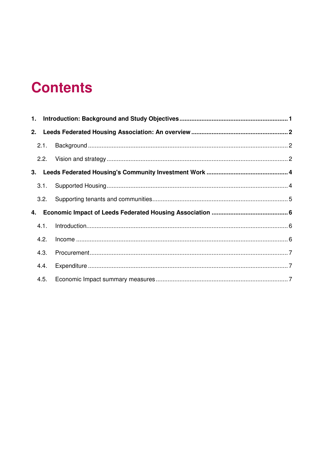# **Contents**

| 2. |      |  |
|----|------|--|
|    | 2.1. |  |
|    | 2.2. |  |
|    |      |  |
|    | 3.1. |  |
|    | 3.2. |  |
| 4. |      |  |
|    | 4.1. |  |
|    | 4.2. |  |
|    | 4.3. |  |
|    | 4.4. |  |
|    | 4.5. |  |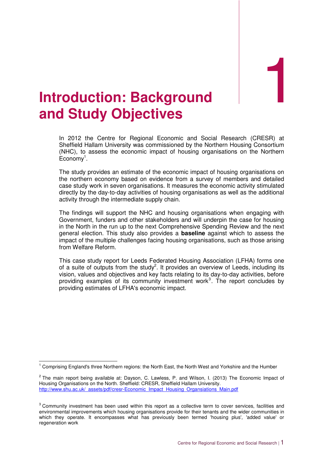1

## **Introduction: Background and Study Objectives**

In 2012 the Centre for Regional Economic and Social Research (CRESR) at Sheffield Hallam University was commissioned by the Northern Housing Consortium (NHC), to assess the economic impact of housing organisations on the Northern  $E$ conomy<sup>1</sup>.

The study provides an estimate of the economic impact of housing organisations on the northern economy based on evidence from a survey of members and detailed case study work in seven organisations. It measures the economic activity stimulated directly by the day-to-day activities of housing organisations as well as the additional activity through the intermediate supply chain.

The findings will support the NHC and housing organisations when engaging with Government, funders and other stakeholders and will underpin the case for housing in the North in the run up to the next Comprehensive Spending Review and the next general election. This study also provides a **baseline** against which to assess the impact of the multiple challenges facing housing organisations, such as those arising from Welfare Reform.

This case study report for Leeds Federated Housing Association (LFHA) forms one of a suite of outputs from the study<sup>2</sup>. It provides an overview of Leeds, including its vision, values and objectives and key facts relating to its day-to-day activities, before providing examples of its community investment work<sup>3</sup>. The report concludes by providing estimates of LFHA's economic impact.

<sup>1&</sup>lt;br><sup>1</sup> Comprising England's three Northern regions: the North East, the North West and Yorkshire and the Humber

 $^2$  The main report being available at: Dayson, C. Lawless, P. and Wilson, I. (2013) The Economic Impact of Housing Organisations on the North. Sheffield: CRESR, Sheffield Hallam University. http://www.shu.ac.uk/\_assets/pdf/cresr-Economic\_Impact\_Housing\_Organsiations\_Main.pdf

 $3$  Community investment has been used within this report as a collective term to cover services, facilities and environmental improvements which housing organisations provide for their tenants and the wider communities in which they operate. It encompasses what has previously been termed 'housing plus', 'added value' or regeneration work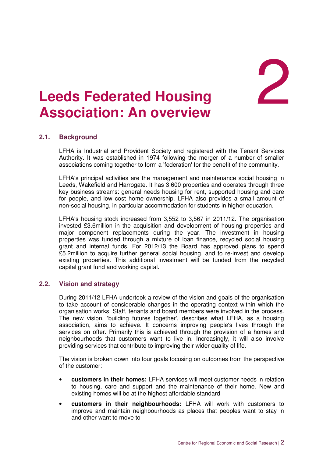2

## **Leeds Federated Housing Association: An overview**

## **2.1. Background**

LFHA is Industrial and Provident Society and registered with the Tenant Services Authority. It was established in 1974 following the merger of a number of smaller associations coming together to form a 'federation' for the benefit of the community.

LFHA's principal activities are the management and maintenance social housing in Leeds, Wakefield and Harrogate. It has 3,600 properties and operates through three key business streams: general needs housing for rent, supported housing and care for people, and low cost home ownership. LFHA also provides a small amount of non-social housing, in particular accommodation for students in higher education.

LFHA's housing stock increased from 3,552 to 3,567 in 2011/12. The organisation invested £3.6million in the acquisition and development of housing properties and major component replacements during the year. The investment in housing properties was funded through a mixture of loan finance, recycled social housing grant and internal funds. For 2012/13 the Board has approved plans to spend £5.2million to acquire further general social housing, and to re-invest and develop existing properties. This additional investment will be funded from the recycled capital grant fund and working capital.

### **2.2. Vision and strategy**

During 2011/12 LFHA undertook a review of the vision and goals of the organisation to take account of considerable changes in the operating context within which the organisation works. Staff, tenants and board members were involved in the process. The new vision, 'building futures together', describes what LFHA, as a housing association, aims to achieve. It concerns improving people's lives through the services on offer. Primarily this is achieved through the provision of a homes and neighbourhoods that customers want to live in. Increasingly, it will also involve providing services that contribute to improving their wider quality of life.

The vision is broken down into four goals focusing on outcomes from the perspective of the customer:

- **customers in their homes:** LFHA services will meet customer needs in relation to housing, care and support and the maintenance of their home. New and existing homes will be at the highest affordable standard
- **customers in their neighbourhoods:** LFHA will work with customers to improve and maintain neighbourhoods as places that peoples want to stay in and other want to move to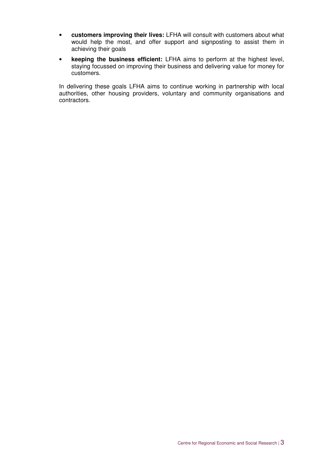- **customers improving their lives:** LFHA will consult with customers about what would help the most, and offer support and signposting to assist them in achieving their goals
- **keeping the business efficient:** LFHA aims to perform at the highest level, staying focussed on improving their business and delivering value for money for customers.

In delivering these goals LFHA aims to continue working in partnership with local authorities, other housing providers, voluntary and community organisations and contractors.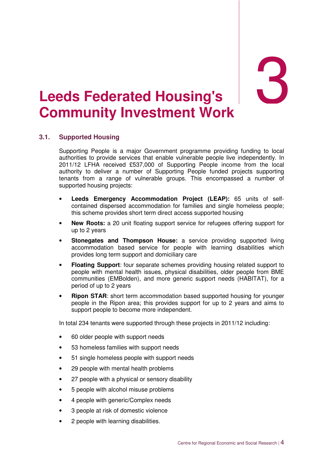3

# 3. **Leeds Federated Housing's Community Investment Work**

## **3.1. Supported Housing**

Supporting People is a major Government programme providing funding to local authorities to provide services that enable vulnerable people live independently. In 2011/12 LFHA received £537,000 of Supporting People income from the local authority to deliver a number of Supporting People funded projects supporting tenants from a range of vulnerable groups. This encompassed a number of supported housing projects:

- **Leeds Emergency Accommodation Project (LEAP):** 65 units of selfcontained dispersed accommodation for families and single homeless people; this scheme provides short term direct access supported housing
- **New Roots:** a 20 unit floating support service for refugees offering support for up to 2 years
- **Stonegates and Thompson House:** a service providing supported living accommodation based service for people with learning disabilities which provides long term support and domiciliary care
- **Floating Support**: four separate schemes providing housing related support to people with mental health issues, physical disabilities, older people from BME communities (EMBolden), and more generic support needs (HABITAT), for a period of up to 2 years
- **Ripon STAR:** short term accommodation based supported housing for younger people in the Ripon area; this provides support for up to 2 years and aims to support people to become more independent.

In total 234 tenants were supported through these projects in 2011/12 including:

- 60 older people with support needs
- 53 homeless families with support needs
- 51 single homeless people with support needs
- 29 people with mental health problems
- 27 people with a physical or sensory disability
- 5 people with alcohol misuse problems
- 4 people with generic/Complex needs
- 3 people at risk of domestic violence
- 2 people with learning disabilities.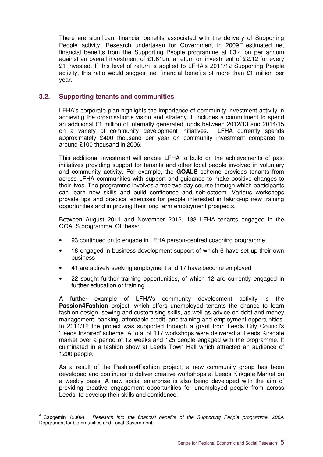There are significant financial benefits associated with the delivery of Supporting People activity. Research undertaken for Government in 2009 $4$  estimated net financial benefits from the Supporting People programme at £3.41bn per annum against an overall investment of £1.61bn: a return on investment of £2.12 for every £1 invested. If this level of return is applied to LFHA's 2011/12 Supporting People activity, this ratio would suggest net financial benefits of more than  $£1$  million per year.

## **3.2. Supporting tenants and communities**

LFHA's corporate plan highlights the importance of community investment activity in achieving the organisation's vision and strategy. It includes a commitment to spend an additional £1 million of internally generated funds between 2012/13 and 2014/15 on a variety of community development initiatives. LFHA currently spends approximately £400 thousand per year on community investment compared to around £100 thousand in 2006.

This additional investment will enable LFHA to build on the achievements of past initiatives providing support for tenants and other local people involved in voluntary and community activity. For example, the **GOALS** scheme provides tenants from across LFHA communities with support and guidance to make positive changes to their lives. The programme involves a free two-day course through which participants can learn new skills and build confidence and self-esteem. Various workshops provide tips and practical exercises for people interested in taking-up new training opportunities and improving their long term employment prospects.

Between August 2011 and November 2012, 133 LFHA tenants engaged in the GOALS programme. Of these:

- 93 continued on to engage in LFHA person-centred coaching programme
- 18 engaged in business development support of which 6 have set up their own business
- 41 are actively seeking employment and 17 have become employed
- 22 sought further training opportunities, of which 12 are currently engaged in further education or training.

A further example of LFHA's community development activity is the **Passion4Fashion** project, which offers unemployed tenants the chance to learn fashion design, sewing and customising skills, as well as advice on debt and money management, banking, affordable credit, and training and employment opportunities. In 2011/12 the project was supported through a grant from Leeds City Council's 'Leeds Inspired' scheme. A total of 117 workshops were delivered at Leeds Kirkgate market over a period of 12 weeks and 125 people engaged with the programme. It culminated in a fashion show at Leeds Town Hall which attracted an audience of 1200 people.

As a result of the Pashion4Fashion project, a new community group has been developed and continues to deliver creative workshops at Leeds Kirkgate Market on a weekly basis. A new social enterprise is also being developed with the aim of providing creative engagement opportunities for unemployed people from across Leeds, to develop their skills and confidence.

 $\overline{\phantom{a}}$ 4 Capgemini (2009). Research into the financial benefits of the Supporting People programme, 2009. Department for Communities and Local Government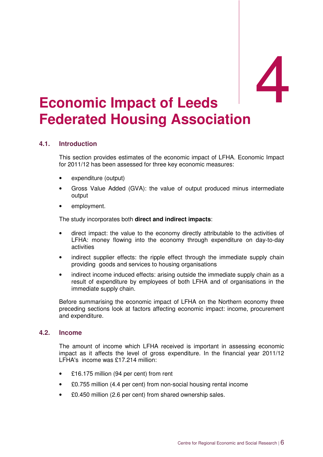## **Economic Impact of Leeds Federated Housing Association**

## **4.1. Introduction**

This section provides estimates of the economic impact of LFHA. Economic Impact for 2011/12 has been assessed for three key economic measures:

- expenditure (output)
- Gross Value Added (GVA): the value of output produced minus intermediate output
- employment.

The study incorporates both **direct and indirect impacts**:

- direct impact: the value to the economy directly attributable to the activities of LFHA: money flowing into the economy through expenditure on day-to-day activities
- indirect supplier effects: the ripple effect through the immediate supply chain providing goods and services to housing organisations
- indirect income induced effects: arising outside the immediate supply chain as a result of expenditure by employees of both LFHA and of organisations in the immediate supply chain.

Before summarising the economic impact of LFHA on the Northern economy three preceding sections look at factors affecting economic impact: income, procurement and expenditure.

### **4.2. Income**

The amount of income which LFHA received is important in assessing economic impact as it affects the level of gross expenditure. In the financial year 2011/12 LFHA's income was £17.214 million:

- £16.175 million (94 per cent) from rent
- £0.755 million (4.4 per cent) from non-social housing rental income
- £0.450 million (2.6 per cent) from shared ownership sales.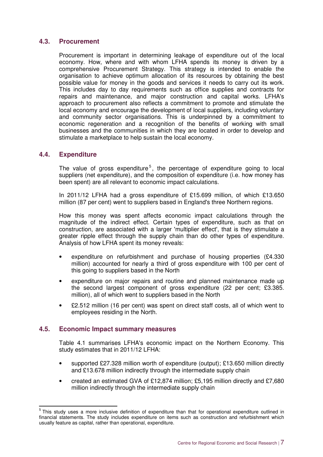### **4.3. Procurement**

Procurement is important in determining leakage of expenditure out of the local economy. How, where and with whom LFHA spends its money is driven by a comprehensive Procurement Strategy. This strategy is intended to enable the organisation to achieve optimum allocation of its resources by obtaining the best possible value for money in the goods and services it needs to carry out its work. This includes day to day requirements such as office supplies and contracts for repairs and maintenance, and major construction and capital works. LFHA's approach to procurement also reflects a commitment to promote and stimulate the local economy and encourage the development of local suppliers, including voluntary and community sector organisations. This is underpinned by a commitment to economic regeneration and a recognition of the benefits of working with small businesses and the communities in which they are located in order to develop and stimulate a marketplace to help sustain the local economy.

## **4.4. Expenditure**

The value of gross expenditure<sup>5</sup>, the percentage of expenditure going to local suppliers (net expenditure), and the composition of expenditure (i.e. how money has been spent) are all relevant to economic impact calculations.

In 2011/12 LFHA had a gross expenditure of £15.699 million, of which £13.650 million (87 per cent) went to suppliers based in England's three Northern regions.

How this money was spent affects economic impact calculations through the magnitude of the indirect effect. Certain types of expenditure, such as that on construction, are associated with a larger 'multiplier effect', that is they stimulate a greater ripple effect through the supply chain than do other types of expenditure. Analysis of how LFHA spent its money reveals:

- expenditure on refurbishment and purchase of housing properties  $(E4.330)$ million) accounted for nearly a third of gross expenditure with 100 per cent of this going to suppliers based in the North
- expenditure on major repairs and routine and planned maintenance made up the second largest component of gross expenditure (22 per cent; £3.385. million), all of which went to suppliers based in the North
- £2.512 million (16 per cent) was spent on direct staff costs, all of which went to employees residing in the North.

### **4.5. Economic Impact summary measures**

Table 4.1 summarises LFHA's economic impact on the Northern Economy. This study estimates that in 2011/12 LFHA:

- supported £27.328 million worth of expenditure (output); £13.650 million directly and £13.678 million indirectly through the intermediate supply chain
- created an estimated GVA of £12,874 million; £5,195 million directly and £7,680 million indirectly through the intermediate supply chain

 5 This study uses a more inclusive definition of expenditure than that for operational expenditure outlined in financial statements. The study includes expenditure on items such as construction and refurbishment which usually feature as capital, rather than operational, expenditure.